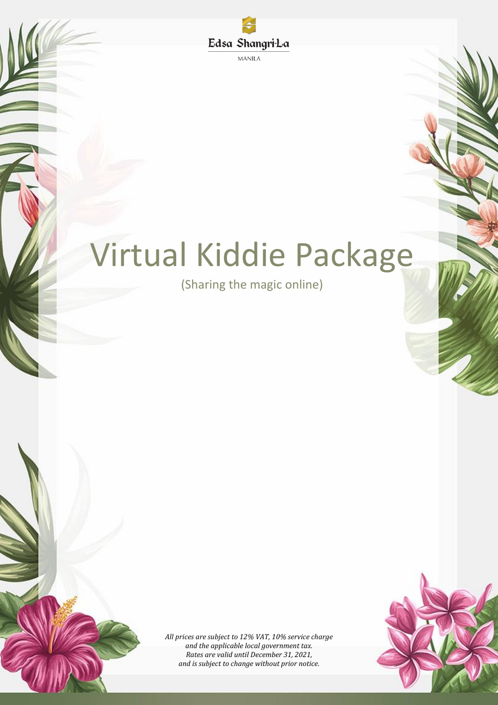

**MANILA** 

# Virtual Kiddie Package

(Sharing the magic online)

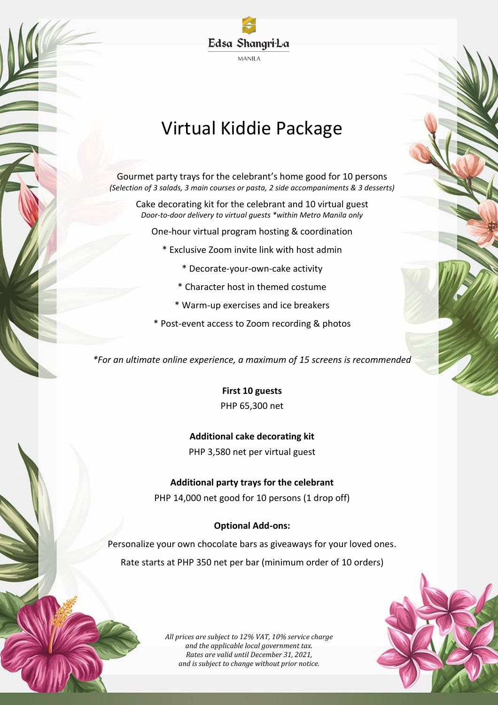

# Virtual Kiddie Package

Gourmet party trays for the celebrant's home good for 10 persons *(Selection of 3 salads, 3 main courses or pasta, 2 side accompaniments & 3 desserts)*

Cake decorating kit for the celebrant and 10 virtual guest *Door-to-door delivery to virtual guests \*within Metro Manila only*

One-hour virtual program hosting & coordination

- \* Exclusive Zoom invite link with host admin
	- \* Decorate-your-own-cake activity
	- \* Character host in themed costume
	- \* Warm-up exercises and ice breakers
- \* Post-event access to Zoom recording & photos

*\*For an ultimate online experience, a maximum of 15 screens is recommended*

**First 10 guests** PHP 65,300 net

**Additional cake decorating kit**

PHP 3,580 net per virtual guest

**Additional party trays for the celebrant** PHP 14,000 net good for 10 persons (1 drop off)

#### **Optional Add-ons:**

Personalize your own chocolate bars as giveaways for your loved ones. Rate starts at PHP 350 net per bar (minimum order of 10 orders)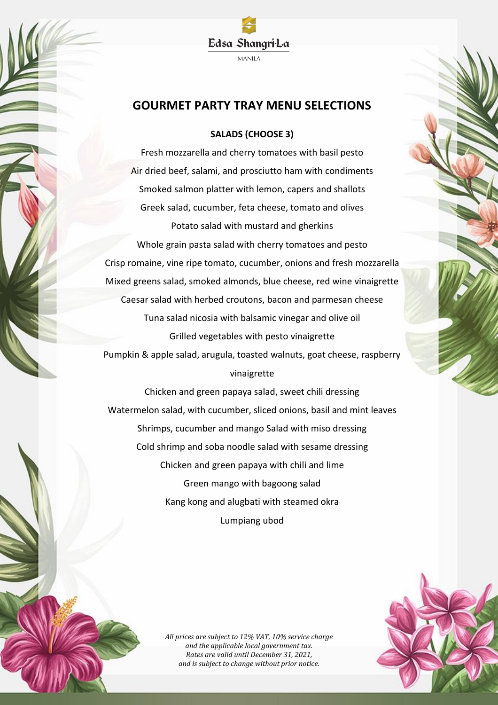

### **GOURMET PARTY TRAY MENU SELECTIONS**

#### **SALADS (CHOOSE 3)**

Fresh mozzarella and cherry tomatoes with basil pesto Air dried beef, salami, and prosciutto ham with condiments Smoked salmon platter with lemon, capers and shallots Greek salad, cucumber, feta cheese, tomato and olives Potato salad with mustard and gherkins Whole grain pasta salad with cherry tomatoes and pesto Crisp romaine, vine ripe tomato, cucumber, onions and fresh mozzarella Mixed greens salad, smoked almonds, blue cheese, red wine vinaigrette Caesar salad with herbed croutons, bacon and parmesan cheese Tuna salad nicosia with balsamic vinegar and olive oil Grilled vegetables with pesto vinaigrette Pumpkin & apple salad, arugula, toasted walnuts, goat cheese, raspberry vinaigrette

Chicken and green papaya salad, sweet chili dressing Watermelon salad, with cucumber, sliced onions, basil and mint leaves Shrimps, cucumber and mango Salad with miso dressing Cold shrimp and soba noodle salad with sesame dressing Chicken and green papaya with chili and lime Green mango with bagoong salad Kang kong and alugbati with steamed okra Lumpiang ubod

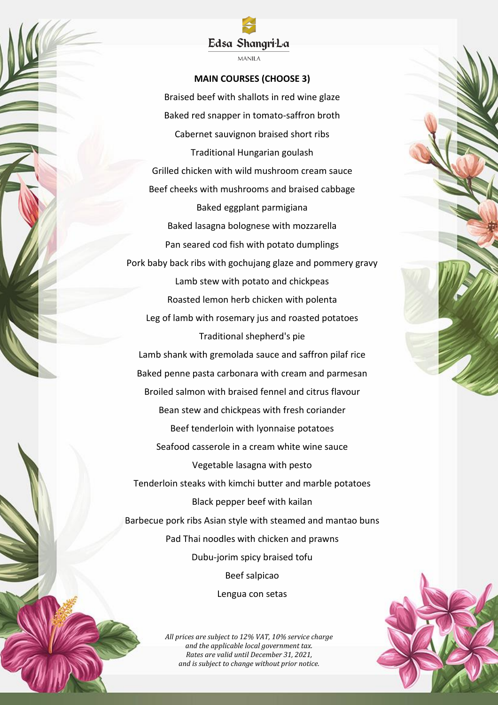#### Edsa Shangri-La

**MANILA** 

#### **MAIN COURSES (CHOOSE 3)**

Braised beef with shallots in red wine glaze Baked red snapper in tomato-saffron broth Cabernet sauvignon braised short ribs Traditional Hungarian goulash Grilled chicken with wild mushroom cream sauce Beef cheeks with mushrooms and braised cabbage Baked eggplant parmigiana Baked lasagna bolognese with mozzarella Pan seared cod fish with potato dumplings Pork baby back ribs with gochujang glaze and pommery gravy Lamb stew with potato and chickpeas Roasted lemon herb chicken with polenta Leg of lamb with rosemary jus and roasted potatoes Traditional shepherd's pie Lamb shank with gremolada sauce and saffron pilaf rice Baked penne pasta carbonara with cream and parmesan Broiled salmon with braised fennel and citrus flavour Bean stew and chickpeas with fresh coriander Beef tenderloin with lyonnaise potatoes Seafood casserole in a cream white wine sauce Vegetable lasagna with pesto Tenderloin steaks with kimchi butter and marble potatoes Black pepper beef with kailan Barbecue pork ribs Asian style with steamed and mantao buns Pad Thai noodles with chicken and prawns Dubu-jorim spicy braised tofu Beef salpicao Lengua con setas

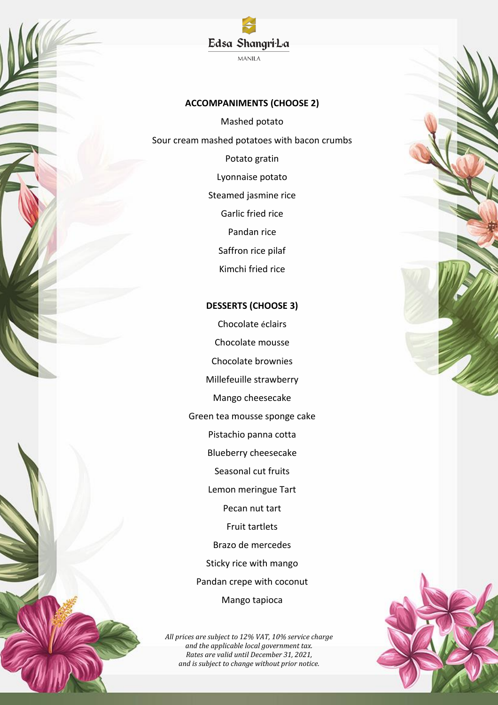#### **ACCOMPANIMENTS (CHOOSE 2)**

Edsa Shangri-La **MANILA** 

Mashed potato Sour cream mashed potatoes with bacon crumbs Potato gratin Lyonnaise potato Steamed jasmine rice Garlic fried rice Pandan rice Saffron rice pilaf Kimchi fried rice

#### **DESSERTS (CHOOSE 3)**

Chocolate éclairs Chocolate mousse Chocolate brownies Millefeuille strawberry Mango cheesecake Green tea mousse sponge cake Pistachio panna cotta Blueberry cheesecake Seasonal cut fruits Lemon meringue Tart Pecan nut tart Fruit tartlets Brazo de mercedes Sticky rice with mango Pandan crepe with coconut Mango tapioca